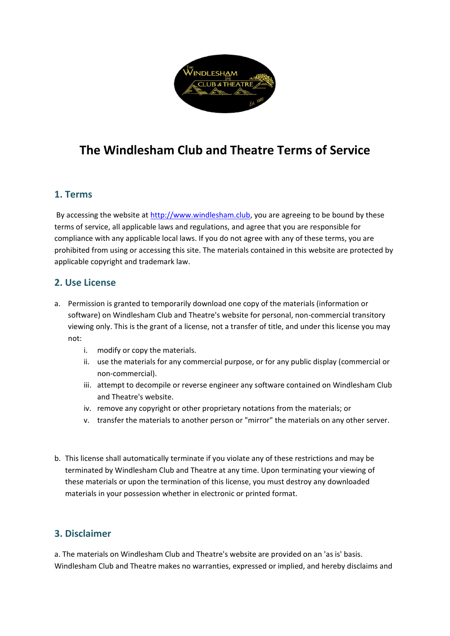

# **The Windlesham Club and Theatre Terms of Service**

# **1. Terms**

By accessing the website at [http://www.windlesham.club,](http://www.windlesham.club/) you are agreeing to be bound by these terms of service, all applicable laws and regulations, and agree that you are responsible for compliance with any applicable local laws. If you do not agree with any of these terms, you are prohibited from using or accessing this site. The materials contained in this website are protected by applicable copyright and trademark law.

#### **2. Use License**

- a. Permission is granted to temporarily download one copy of the materials (information or software) on Windlesham Club and Theatre's website for personal, non-commercial transitory viewing only. This is the grant of a license, not a transfer of title, and under this license you may not:
	- i. modify or copy the materials.
	- ii. use the materials for any commercial purpose, or for any public display (commercial or non-commercial).
	- iii. attempt to decompile or reverse engineer any software contained on Windlesham Club and Theatre's website.
	- iv. remove any copyright or other proprietary notations from the materials; or
	- v. transfer the materials to another person or "mirror" the materials on any other server.
- b. This license shall automatically terminate if you violate any of these restrictions and may be terminated by Windlesham Club and Theatre at any time. Upon terminating your viewing of these materials or upon the termination of this license, you must destroy any downloaded materials in your possession whether in electronic or printed format.

# **3. Disclaimer**

a. The materials on Windlesham Club and Theatre's website are provided on an 'as is' basis. Windlesham Club and Theatre makes no warranties, expressed or implied, and hereby disclaims and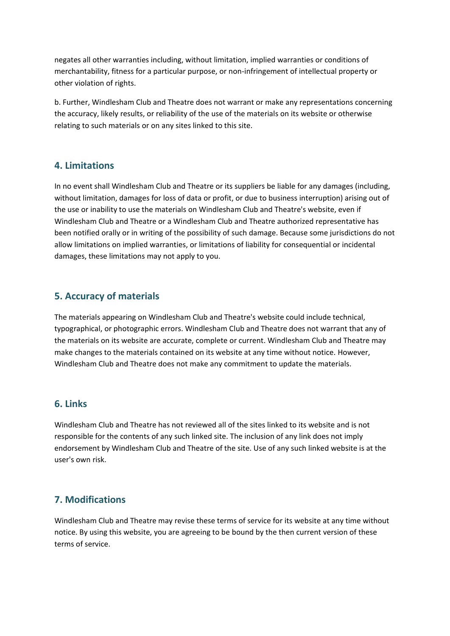negates all other warranties including, without limitation, implied warranties or conditions of merchantability, fitness for a particular purpose, or non-infringement of intellectual property or other violation of rights.

b. Further, Windlesham Club and Theatre does not warrant or make any representations concerning the accuracy, likely results, or reliability of the use of the materials on its website or otherwise relating to such materials or on any sites linked to this site.

## **4. Limitations**

In no event shall Windlesham Club and Theatre or its suppliers be liable for any damages (including, without limitation, damages for loss of data or profit, or due to business interruption) arising out of the use or inability to use the materials on Windlesham Club and Theatre's website, even if Windlesham Club and Theatre or a Windlesham Club and Theatre authorized representative has been notified orally or in writing of the possibility of such damage. Because some jurisdictions do not allow limitations on implied warranties, or limitations of liability for consequential or incidental damages, these limitations may not apply to you.

#### **5. Accuracy of materials**

The materials appearing on Windlesham Club and Theatre's website could include technical, typographical, or photographic errors. Windlesham Club and Theatre does not warrant that any of the materials on its website are accurate, complete or current. Windlesham Club and Theatre may make changes to the materials contained on its website at any time without notice. However, Windlesham Club and Theatre does not make any commitment to update the materials.

#### **6. Links**

Windlesham Club and Theatre has not reviewed all of the sites linked to its website and is not responsible for the contents of any such linked site. The inclusion of any link does not imply endorsement by Windlesham Club and Theatre of the site. Use of any such linked website is at the user's own risk.

## **7. Modifications**

Windlesham Club and Theatre may revise these terms of service for its website at any time without notice. By using this website, you are agreeing to be bound by the then current version of these terms of service.